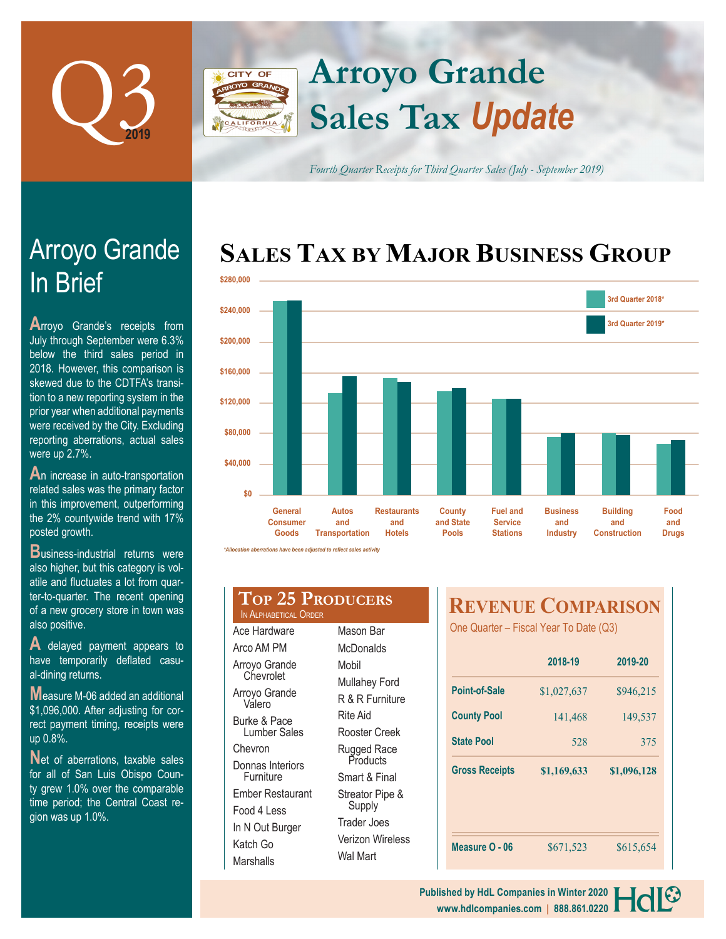

# **Arroyo Grande CITY OF Sales Tax** *Update*

*Fourth Quarter Receipts for Third Quarter Sales (July - September 2019)*

# **SALES TAX BY MAJOR BUSINESS GROUP**



*\*Allocation aberrations have been adjusted to reflect sales activity*

| <b>TOP 25 PRODUCERS</b><br>IN ALPHABETICAL ORDER |                  |  |  |  |
|--------------------------------------------------|------------------|--|--|--|
| Ace Hardware                                     | Mason Bar        |  |  |  |
| Arco AM PM                                       | McDonalds        |  |  |  |
| Arroyo Grande                                    | Mobil            |  |  |  |
| Chevrolet                                        | Mullahey Ford    |  |  |  |
| Arroyo Grande<br>Valero                          | R & R Furniture  |  |  |  |
| Burke & Pace                                     | Rite Aid         |  |  |  |
| Lumber Sales                                     | Rooster Creek    |  |  |  |
| Chevron                                          | Rugged Race      |  |  |  |
| Donnas Interiors                                 | Products         |  |  |  |
| Furniture                                        | Smart & Final    |  |  |  |
| Ember Restaurant                                 | Streator Pipe &  |  |  |  |
| Food 4 Less                                      | Supply           |  |  |  |
| In N Out Burger                                  | Trader Joes      |  |  |  |
| Katch Go                                         | Verizon Wireless |  |  |  |
| Marshalls                                        | Wal Mart         |  |  |  |

# **REVENUE COMPARISON**

One Quarter – Fiscal Year To Date (Q3)

|                       | 2018-19     | 2019-20     |  |
|-----------------------|-------------|-------------|--|
| Point-of-Sale         | \$1,027,637 | \$946,215   |  |
| <b>County Pool</b>    | 141,468     | 149,537     |  |
| <b>State Pool</b>     | 528         | 375         |  |
| <b>Gross Receipts</b> | \$1,169,633 | \$1,096,128 |  |
| Measure O - 06        | \$671,523   | \$615,654   |  |

# In Brief Arroyo Grande

**A**rroyo Grande's receipts from July through September were 6.3% below the third sales period in 2018. However, this comparison is skewed due to the CDTFA's transition to a new reporting system in the prior year when additional payments were received by the City. Excluding reporting aberrations, actual sales were up 2.7%.

**A**n increase in auto-transportation related sales was the primary factor in this improvement, outperforming the 2% countywide trend with 17% posted growth.

**B**usiness-industrial returns were also higher, but this category is volatile and fluctuates a lot from quarter-to-quarter. The recent opening of a new grocery store in town was also positive.

**A** delayed payment appears to have temporarily deflated casual-dining returns.

**M**easure M-06 added an additional \$1,096,000. After adjusting for correct payment timing, receipts were up 0.8%.

Net of aberrations, taxable sales for all of San Luis Obispo County grew 1.0% over the comparable time period; the Central Coast region was up 1.0%.

> **www.hdlcompanies.com | 888.861.0220 Published by HdL Companies in Winter 2020**